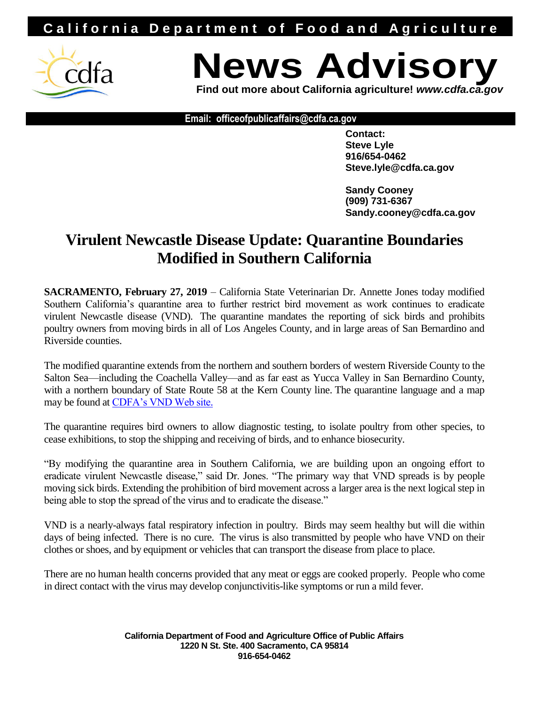## **California Department of Food and Agriculture**



## **News Advisor**

**Find out more about California agriculture!** *www.cdfa.ca.gov*

**Email: officeofpublicaffairs@cdfa.ca.gov**

**Contact: Steve Lyle 916/654-0462 Steve.lyle@cdfa.ca.gov**

**Sandy Cooney (909) 731-6367 Sandy.cooney@cdfa.ca.gov**

## **Virulent Newcastle Disease Update: Quarantine Boundaries Modified in Southern California**

**SACRAMENTO, February 27, 2019** – California State Veterinarian Dr. Annette Jones today modified Southern California's quarantine area to further restrict bird movement as work continues to eradicate virulent Newcastle disease (VND). The quarantine mandates the reporting of sick birds and prohibits poultry owners from moving birds in all of Los Angeles County, and in large areas of San Bernardino and Riverside counties.

The modified quarantine extends from the northern and southern borders of western Riverside County to the Salton Sea—including the Coachella Valley—and as far east as Yucca Valley in San Bernardino County, with a northern boundary of State Route 58 at the Kern County line. The quarantine language and a map may be found at CDFA's VND Web site.

The quarantine requires bird owners to allow diagnostic testing, to isolate poultry from other species, to cease exhibitions, to stop the shipping and receiving of birds, and to enhance biosecurity.

"By modifying the quarantine area in Southern California, we are building upon an ongoing effort to eradicate virulent Newcastle disease," said Dr. Jones. "The primary way that VND spreads is by people moving sick birds. Extending the prohibition of bird movement across a larger area is the next logical step in being able to stop the spread of the virus and to eradicate the disease."

VND is a nearly-always fatal respiratory infection in poultry. Birds may seem healthy but will die within days of being infected. There is no cure. The virus is also transmitted by people who have VND on their clothes or shoes, and by equipment or vehicles that can transport the disease from place to place.

There are no human health concerns provided that any meat or eggs are cooked properly. People who come in direct contact with the virus may develop conjunctivitis-like symptoms or run a mild fever.

> **California Department of Food and Agriculture Office of Public Affairs 1220 N St. Ste. 400 Sacramento, CA 95814 916-654-0462**